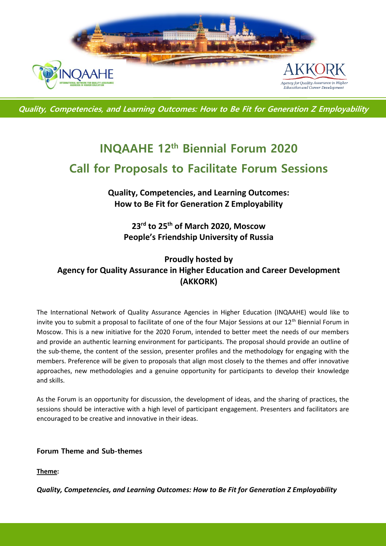

**Quality, Competencies, and Learning Outcomes: How to Be Fit for Generation Z Employability**

# **INQAAHE 12th Biennial Forum 2020 Call for Proposals to Facilitate Forum Sessions**

**Quality, Competencies, and Learning Outcomes: How to Be Fit for Generation Z Employability**

**23rd to 25th of March 2020, Moscow People's Friendship University of Russia**

## **Proudly hosted by Agency for Quality Assurance in Higher Education and Career Development (AKKORK)**

The International Network of Quality Assurance Agencies in Higher Education (INQAAHE) would like to invite you to submit a proposal to facilitate of one of the four Major Sessions at our 12<sup>th</sup> Biennial Forum in Moscow. This is a new initiative for the 2020 Forum, intended to better meet the needs of our members and provide an authentic learning environment for participants. The proposal should provide an outline of the sub-theme, the content of the session, presenter profiles and the methodology for engaging with the members. Preference will be given to proposals that align most closely to the themes and offer innovative approaches, new methodologies and a genuine opportunity for participants to develop their knowledge and skills.

As the Forum is an opportunity for discussion, the development of ideas, and the sharing of practices, the sessions should be interactive with a high level of participant engagement. Presenters and facilitators are encouraged to be creative and innovative in their ideas.

**Forum Theme and Sub-themes**

**Theme:**

*Quality, Competencies, and Learning Outcomes: How to Be Fit for Generation Z Employability*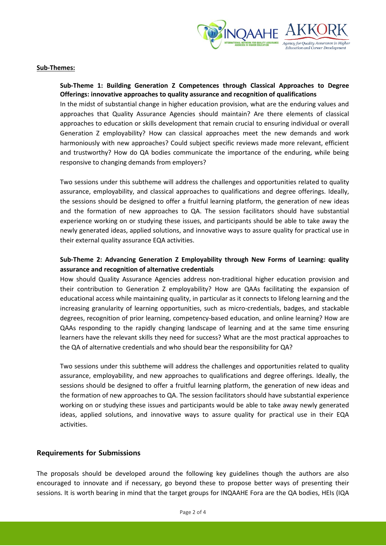

#### **Sub-Themes:**

#### **Sub-Theme 1: Building Generation Z Competences through Classical Approaches to Degree Offerings: innovative approaches to quality assurance and recognition of qualifications**

In the midst of substantial change in higher education provision, what are the enduring values and approaches that Quality Assurance Agencies should maintain? Are there elements of classical approaches to education or skills development that remain crucial to ensuring individual or overall Generation Z employability? How can classical approaches meet the new demands and work harmoniously with new approaches? Could subject specific reviews made more relevant, efficient and trustworthy? How do QA bodies communicate the importance of the enduring, while being responsive to changing demands from employers?

Two sessions under this subtheme will address the challenges and opportunities related to quality assurance, employability, and classical approaches to qualifications and degree offerings. Ideally, the sessions should be designed to offer a fruitful learning platform, the generation of new ideas and the formation of new approaches to QA. The session facilitators should have substantial experience working on or studying these issues, and participants should be able to take away the newly generated ideas, applied solutions, and innovative ways to assure quality for practical use in their external quality assurance EQA activities.

### **Sub-Theme 2: Advancing Generation Z Employability through New Forms of Learning: quality assurance and recognition of alternative credentials**

How should Quality Assurance Agencies address non-traditional higher education provision and their contribution to Generation Z employability? How are QAAs facilitating the expansion of educational access while maintaining quality, in particular as it connects to lifelong learning and the increasing granularity of learning opportunities, such as micro-credentials, badges, and stackable degrees, recognition of prior learning, competency-based education, and online learning? How are QAAs responding to the rapidly changing landscape of learning and at the same time ensuring learners have the relevant skills they need for success? What are the most practical approaches to the QA of alternative credentials and who should bear the responsibility for QA?

Two sessions under this subtheme will address the challenges and opportunities related to quality assurance, employability, and new approaches to qualifications and degree offerings. Ideally, the sessions should be designed to offer a fruitful learning platform, the generation of new ideas and the formation of new approaches to QA. The session facilitators should have substantial experience working on or studying these issues and participants would be able to take away newly generated ideas, applied solutions, and innovative ways to assure quality for practical use in their EQA activities.

#### **Requirements for Submissions**

The proposals should be developed around the following key guidelines though the authors are also encouraged to innovate and if necessary, go beyond these to propose better ways of presenting their sessions. It is worth bearing in mind that the target groups for INQAAHE Fora are the QA bodies, HEIs (IQA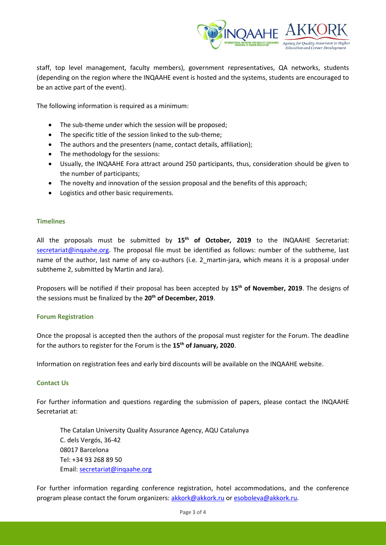

staff, top level management, faculty members), government representatives, QA networks, students (depending on the region where the INQAAHE event is hosted and the systems, students are encouraged to be an active part of the event).

The following information is required as a minimum:

- The sub-theme under which the session will be proposed;
- The specific title of the session linked to the sub-theme;
- The authors and the presenters (name, contact details, affiliation);
- The methodology for the sessions:
- Usually, the INQAAHE Fora attract around 250 participants, thus, consideration should be given to the number of participants;
- The novelty and innovation of the session proposal and the benefits of this approach;
- Logistics and other basic requirements.

#### **Timelines**

All the proposals must be submitted by **15th of October, 2019** to the INQAAHE Secretariat: [secretariat@inqaahe.org.](mailto:secretariat@inqaahe.org) The proposal file must be identified as follows: number of the subtheme, last name of the author, last name of any co-authors (i.e. 2 martin-jara, which means it is a proposal under subtheme 2, submitted by Martin and Jara).

Proposers will be notified if their proposal has been accepted by **15th of November, 2019**. The designs of the sessions must be finalized by the **20th of December, 2019**.

#### **Forum Registration**

Once the proposal is accepted then the authors of the proposal must register for the Forum. The deadline for the authors to register for the Forum is the **15th of January, 2020**.

Information on registration fees and early bird discounts will be available on the INQAAHE website.

#### **Contact Us**

For further information and questions regarding the submission of papers, please contact the INQAAHE Secretariat at:

The Catalan University Quality Assurance Agency, AQU Catalunya C. dels Vergós, 36-42 08017 Barcelona Tel: +34 93 268 89 50 Email: [secretariat@inqaahe.org](mailto:secretariat@inqaahe.org)

For further information regarding conference registration, hotel accommodations, and the conference program please contact the forum organizers: [akkork@akkork.ru](mailto:akkork@akkork.ru) or [esoboleva@akkork.ru.](mailto:esoboleva@akkork.ru)